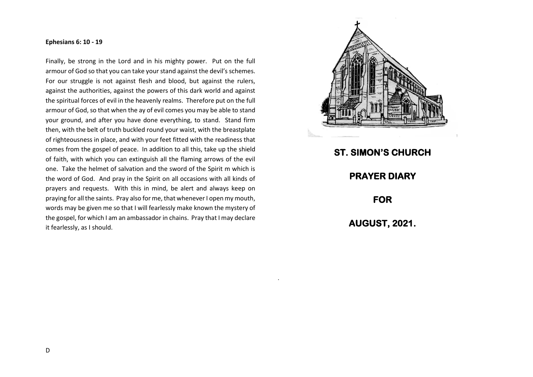## **Ephesians 6: 10 - 19**

Finally, be strong in the Lord and in his mighty power. Put on the full armour of God so that you can take your stand against the devil's schemes. For our struggle is not against flesh and blood, but against the rulers, against the authorities, against the powers of this dark world and against the spiritual forces of evil in the heavenly realms. Therefore put on the full armour of God, so that when the ay of evil comes you may be able to stand your ground, and after you have done everything, to stand. Stand firm then, with the belt of truth buckled round your waist, with the breastplate of righteousness in place, and with your feet fitted with the readiness that comes from the gospel of peace. In addition to all this, take up the shield of faith, with which you can extinguish all the flaming arrows of the evil one. Take the helmet of salvation and the sword of the Spirit m which is the word of God. And pray in the Spirit on all occasions with all kinds of prayers and requests. With this in mind, be alert and always keep on praying for all the saints. Pray also for me, that whenever I open my mouth, words may be given me so that I will fearlessly make known the mystery of the gospel, for which I am an ambassador in chains. Pray that I may declare it fearlessly, as I should.



**ST. SIMON'S CHURCH PRAYER DIARY FOR AUGUST, 2021.** 

.